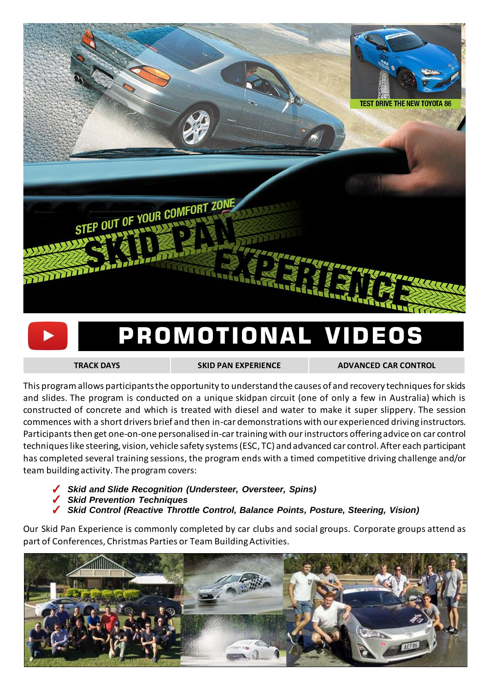

## PROMOTIONAL VIDEOS

**[TRACK DAYS](https://youtu.be/huZ7hK2ew_I) [SKID PAN EXPERIENCE](https://youtu.be/huZ7hK2ew_I) [ADVANCED CAR CONTROL](https://youtu.be/huZ7hK2ew_I)**

This programallows participants the opportunity to understand the causes of and recovery techniques for skids and slides. The program is conducted on a unique skidpan circuit (one of only a few in Australia) which is constructed of concrete and which is treated with diesel and water to make it super slippery. The session commences with a short drivers brief and then in-car demonstrations with our experienced driving instructors. Participants then get one-on-one personalised in-car training with our instructors offering advice on car control techniqueslike steering, vision, vehicle safety systems (ESC, TC) and advanced car control. After each participant has completed several training sessions, the program ends with a timed competitive driving challenge and/or team building activity. The program covers:

- *Skid and Slide Recognition (Understeer, Oversteer, Spins)*
- *Skid Prevention Techniques*
- *Skid Control (Reactive Throttle Control, Balance Points, Posture, Steering, Vision)*

Our Skid Pan Experience is commonly completed by car clubs and social groups. Corporate groups attend as part of Conferences, Christmas Parties or Team Building Activities.